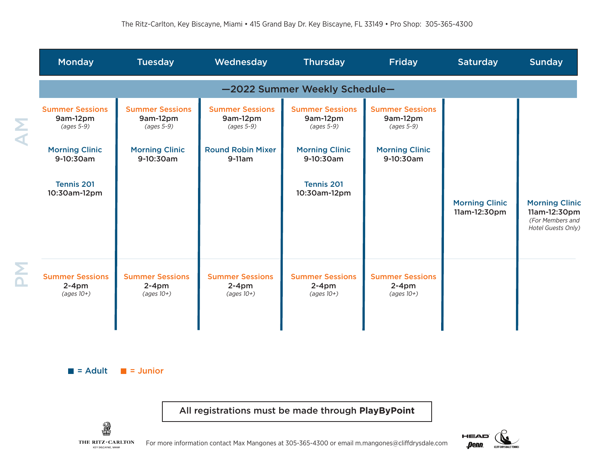|                   | <b>Monday</b>                                     | <b>Tuesday</b>                                           | Wednesday                                          | <b>Thursday</b>                                          | Friday                                                    | <b>Saturday</b>                       | <b>Sunday</b>                                                                   |
|-------------------|---------------------------------------------------|----------------------------------------------------------|----------------------------------------------------|----------------------------------------------------------|-----------------------------------------------------------|---------------------------------------|---------------------------------------------------------------------------------|
|                   | -2022 Summer Weekly Schedule-                     |                                                          |                                                    |                                                          |                                                           |                                       |                                                                                 |
| $\mathbf{\Sigma}$ | <b>Summer Sessions</b><br>9am-12pm<br>(ages 5-9)  | <b>Summer Sessions</b><br>9am-12pm<br>$(ages 5-9)$       | <b>Summer Sessions</b><br>9am-12pm<br>$(ages 5-9)$ | <b>Summer Sessions</b><br>9am-12pm<br>(ages 5-9)         | <b>Summer Sessions</b><br>9am-12pm<br>(ages 5-9)          |                                       |                                                                                 |
|                   | <b>Morning Clinic</b><br>9-10:30am                | <b>Morning Clinic</b><br>9-10:30am                       | <b>Round Robin Mixer</b><br>$9-11am$               | <b>Morning Clinic</b><br>9-10:30am                       | <b>Morning Clinic</b><br>9-10:30am                        |                                       |                                                                                 |
|                   | <b>Tennis 201</b><br>10:30am-12pm                 |                                                          |                                                    | <b>Tennis 201</b><br>10:30am-12pm                        |                                                           | <b>Morning Clinic</b><br>11am-12:30pm | <b>Morning Clinic</b><br>11am-12:30pm<br>(For Members and<br>Hotel Guests Only) |
| Σ                 | <b>Summer Sessions</b><br>$2-4pm$<br>$(aqes 10+)$ | <b>Summer Sessions</b><br>$2-4pm$<br>$(\text{ages }10+)$ | <b>Summer Sessions</b><br>$2-4$ pm<br>$(aqes 10+)$ | <b>Summer Sessions</b><br>$2-4pm$<br>$(\text{ages }10+)$ | <b>Summer Sessions</b><br>$2-4$ pm<br>$(\text{ages }10+)$ |                                       |                                                                                 |



All registrations must be made through **PlayByPoint**